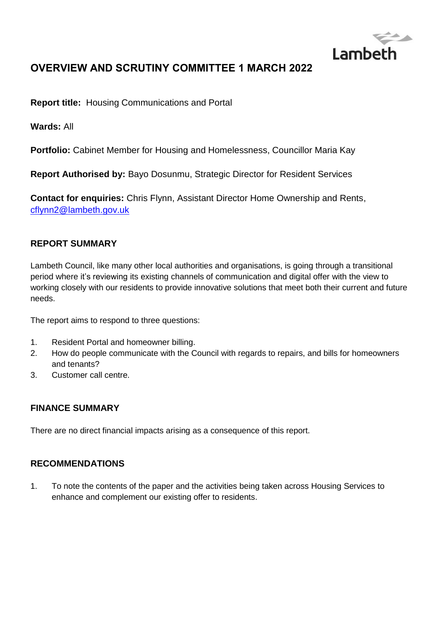

# **OVERVIEW AND SCRUTINY COMMITTEE 1 MARCH 2022**

**Report title:** Housing Communications and Portal

**Wards:** All

**Portfolio:** Cabinet Member for Housing and Homelessness, Councillor Maria Kay

**Report Authorised by:** Bayo Dosunmu, Strategic Director for Resident Services

**Contact for enquiries:** Chris Flynn, Assistant Director Home Ownership and Rents, [cflynn2@lambeth.gov.uk](mailto:cflynn2@lambeth.gov.uk)

### **REPORT SUMMARY**

Lambeth Council, like many other local authorities and organisations, is going through a transitional period where it's reviewing its existing channels of communication and digital offer with the view to working closely with our residents to provide innovative solutions that meet both their current and future needs.

The report aims to respond to three questions:

- 1. Resident Portal and homeowner billing.
- 2. How do people communicate with the Council with regards to repairs, and bills for homeowners and tenants?
- 3. Customer call centre.

## **FINANCE SUMMARY**

There are no direct financial impacts arising as a consequence of this report.

### **RECOMMENDATIONS**

1. To note the contents of the paper and the activities being taken across Housing Services to enhance and complement our existing offer to residents.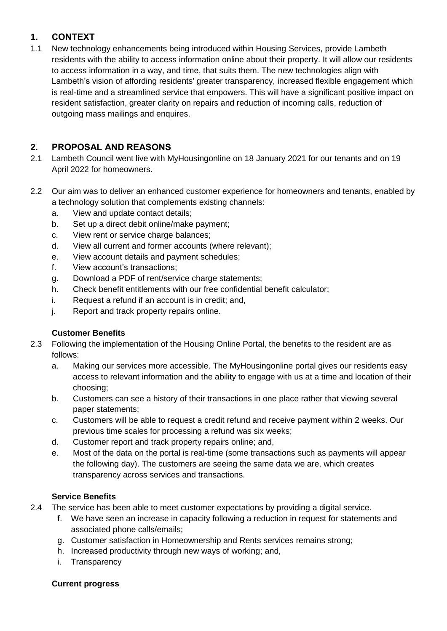## **1. CONTEXT**

1.1 New technology enhancements being introduced within Housing Services, provide Lambeth residents with the ability to access information online about their property. It will allow our residents to access information in a way, and time, that suits them. The new technologies align with Lambeth's vision of affording residents' greater transparency, increased flexible engagement which is real-time and a streamlined service that empowers. This will have a significant positive impact on resident satisfaction, greater clarity on repairs and reduction of incoming calls, reduction of outgoing mass mailings and enquires.

## **2. PROPOSAL AND REASONS**

- 2.1 Lambeth Council went live with MyHousingonline on 18 January 2021 for our tenants and on 19 April 2022 for homeowners.
- 2.2 Our aim was to deliver an enhanced customer experience for homeowners and tenants, enabled by a technology solution that complements existing channels:
	- a. View and update contact details;
	- b. Set up a direct debit online/make payment;
	- c. View rent or service charge balances;
	- d. View all current and former accounts (where relevant);
	- e. View account details and payment schedules;
	- f. View account's transactions;
	- g. Download a PDF of rent/service charge statements;
	- h. Check benefit entitlements with our free confidential benefit calculator;
	- i. Request a refund if an account is in credit; and,
	- j. Report and track property repairs online.

## **Customer Benefits**

- 2.3 Following the implementation of the Housing Online Portal, the benefits to the resident are as follows:
	- a. Making our services more accessible. The MyHousingonline portal gives our residents easy access to relevant information and the ability to engage with us at a time and location of their choosing;
	- b. Customers can see a history of their transactions in one place rather that viewing several paper statements;
	- c. Customers will be able to request a credit refund and receive payment within 2 weeks. Our previous time scales for processing a refund was six weeks;
	- d. Customer report and track property repairs online; and,
	- e. Most of the data on the portal is real-time (some transactions such as payments will appear the following day). The customers are seeing the same data we are, which creates transparency across services and transactions.

## **Service Benefits**

- 2.4 The service has been able to meet customer expectations by providing a digital service.
	- f. We have seen an increase in capacity following a reduction in request for statements and associated phone calls/emails;
	- g. Customer satisfaction in Homeownership and Rents services remains strong;
	- h. Increased productivity through new ways of working; and,
	- i. Transparency

### **Current progress**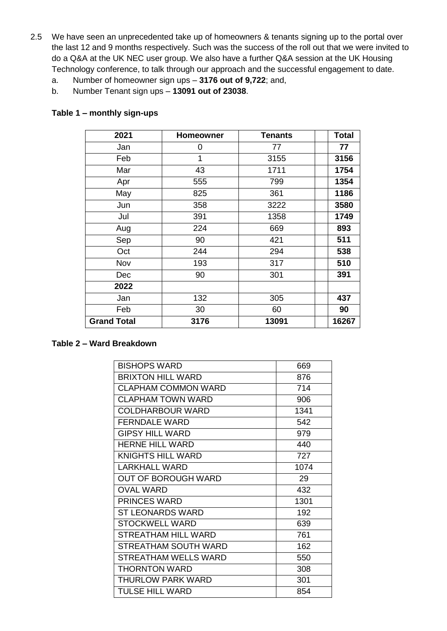- 2.5 We have seen an unprecedented take up of homeowners & tenants signing up to the portal over the last 12 and 9 months respectively. Such was the success of the roll out that we were invited to do a Q&A at the UK NEC user group. We also have a further Q&A session at the UK Housing Technology conference, to talk through our approach and the successful engagement to date.
	- a. Number of homeowner sign ups **3176 out of 9,722**; and,
	- b. Number Tenant sign ups **13091 out of 23038**.

### **Table 1 – monthly sign-ups**

| 2021               | Homeowner | <b>Tenants</b> | <b>Total</b> |
|--------------------|-----------|----------------|--------------|
| Jan                | 0         | 77             | 77           |
| Feb                | 1         | 3155           | 3156         |
| Mar                | 43        | 1711           | 1754         |
| Apr                | 555       | 799<br>1354    |              |
| May                | 825       | 361            | 1186         |
| Jun                | 358       | 3222           | 3580         |
| Jul                | 391       | 1358           | 1749         |
| Aug                | 224       | 669            | 893          |
| Sep                | 90        | 421            | 511          |
| Oct                | 244       | 294<br>538     |              |
| Nov                | 193       | 317            | 510          |
| Dec                | 90        | 301            | 391          |
| 2022               |           |                |              |
| Jan                | 132       | 305            | 437          |
| Feb                | 30        | 60             | 90           |
| <b>Grand Total</b> | 3176      | 13091          | 16267        |

#### **Table 2 – Ward Breakdown**

| <b>BISHOPS WARD</b>         | 669  |
|-----------------------------|------|
| <b>BRIXTON HILL WARD</b>    | 876  |
| <b>CLAPHAM COMMON WARD</b>  | 714  |
| <b>CLAPHAM TOWN WARD</b>    | 906  |
| COLDHARBOUR WARD            | 1341 |
| FFRNDALF WARD               | 542  |
| GIPSY HILL WARD             | 979  |
| <b>HERNE HILL WARD</b>      | 440  |
| KNIGHTS HILL WARD           | 727  |
| LARKHALL WARD               | 1074 |
| OUT OF BOROUGH WARD         | 29   |
| <b>OVAL WARD</b>            | 432  |
| <b>PRINCES WARD</b>         | 1301 |
| <b>ST LEONARDS WARD</b>     | 192  |
| <b>STOCKWELL WARD</b>       | 639  |
| STREATHAM HILL WARD         | 761  |
| STREATHAM SOUTH WARD        | 162  |
| <b>STREATHAM WELLS WARD</b> | 550  |
| <b>THORNTON WARD</b>        | 308  |
| <b>THURLOW PARK WARD</b>    | 301  |
| <b>TULSE HILL WARD</b>      | 854  |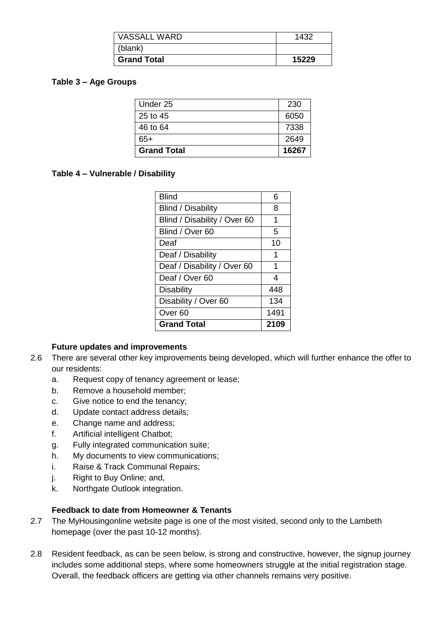| <b>VASSALL WARD</b> | 1432  |
|---------------------|-------|
| (blank)             |       |
| <b>Grand Total</b>  | 15229 |

#### **Table 3 – Age Groups**

| <b>Grand Total</b> | 16267 |
|--------------------|-------|
| 65+                | 2649  |
| 46 to 64           | 7338  |
| 25 to 45           | 6050  |
| Under 25           | 230   |

### **Table 4 – Vulnerable / Disability**

| <b>Blind</b>                 | 6    |
|------------------------------|------|
| <b>Blind / Disability</b>    | 8    |
| Blind / Disability / Over 60 | 1    |
| Blind / Over 60              | 5    |
| Deaf                         | 10   |
| Deaf / Disability            | 1    |
| Deaf / Disability / Over 60  | 1    |
| Deaf / Over 60               | 4    |
| Disability                   | 448  |
| Disability / Over 60         | 134  |
| Over 60                      | 1491 |
| <b>Grand Total</b>           | 2109 |

### **Future updates and improvements**

- 2.6 There are several other key improvements being developed, which will further enhance the offer to our residents:
	- a. Request copy of tenancy agreement or lease;
	- b. Remove a household member;
	- c. Give notice to end the tenancy;
	- d. Update contact address details;
	- e. Change name and address;
	- f. Artificial intelligent Chatbot;
	- g. Fully integrated communication suite;
	- h. My documents to view communications;
	- i. Raise & Track Communal Repairs;
	- j. Right to Buy Online; and,
	- k. Northgate Outlook integration.

### **Feedback to date from Homeowner & Tenants**

- 2.7 The MyHousingonline website page is one of the most visited, second only to the Lambeth homepage (over the past 10-12 months).
- 2.8 Resident feedback, as can be seen below, is strong and constructive, however, the signup journey includes some additional steps, where some homeowners struggle at the initial registration stage. Overall, the feedback officers are getting via other channels remains very positive.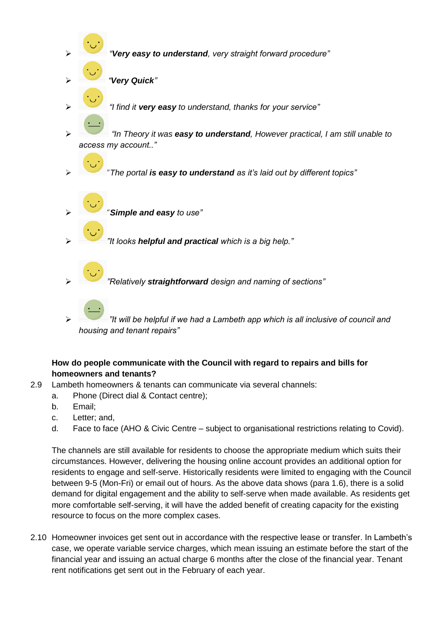

### **How do people communicate with the Council with regard to repairs and bills for homeowners and tenants?**

- 2.9 Lambeth homeowners & tenants can communicate via several channels:
	- a. Phone (Direct dial & Contact centre);
	- b. Email;
	- c. Letter; and,
	- d. Face to face (AHO & Civic Centre subject to organisational restrictions relating to Covid).

The channels are still available for residents to choose the appropriate medium which suits their circumstances. However, delivering the housing online account provides an additional option for residents to engage and self-serve. Historically residents were limited to engaging with the Council between 9-5 (Mon-Fri) or email out of hours. As the above data shows (para 1.6), there is a solid demand for digital engagement and the ability to self-serve when made available. As residents get more comfortable self-serving, it will have the added benefit of creating capacity for the existing resource to focus on the more complex cases.

2.10 Homeowner invoices get sent out in accordance with the respective lease or transfer. In Lambeth's case, we operate variable service charges, which mean issuing an estimate before the start of the financial year and issuing an actual charge 6 months after the close of the financial year. Tenant rent notifications get sent out in the February of each year.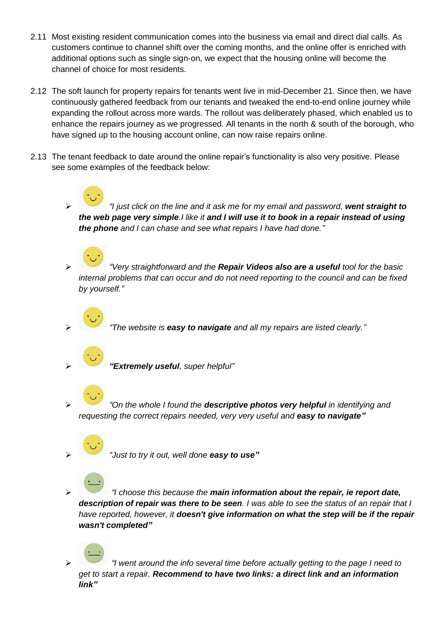- 2.11 Most existing resident communication comes into the business via email and direct dial calls. As customers continue to channel shift over the coming months, and the online offer is enriched with additional options such as single sign-on, we expect that the housing online will become the channel of choice for most residents.
- 2.12 The soft launch for property repairs for tenants went live in mid-December 21. Since then, we have continuously gathered feedback from our tenants and tweaked the end-to-end online journey while expanding the rollout across more wards. The rollout was deliberately phased, which enabled us to enhance the repairs journey as we progressed. All tenants in the north & south of the borough, who have signed up to the housing account online, can now raise repairs online.
- 2.13 The tenant feedback to date around the online repair's functionality is also very positive. Please see some examples of the feedback below:
	- *"I just click on the line and it ask me for my email and password, went straight to the web page very simple.I like it and I will use it to book in a repair instead of using the phone and I can chase and see what repairs I have had done."*
	- *"Very straightforward and the Repair Videos also are a useful tool for the basic internal problems that can occur and do not need reporting to the council and can be fixed by yourself."*
		- *"The website is easy to navigate and all my repairs are listed clearly."*
	- *"Extremely useful, super helpful"*
	- *"On the whole I found the descriptive photos very helpful in identifying and requesting the correct repairs needed, very very useful and easy to navigate"*
	- *"Just to try it out, well done easy to use"*
	- *"I choose this because the main information about the repair, ie report date, description of repair was there to be seen. I was able to see the status of an repair that I have reported, however, it doesn't give information on what the step will be if the repair wasn't completed"*
	- *"I went around the info several time before actually getting to the page I need to get to start a repair. Recommend to have two links: a direct link and an information link"*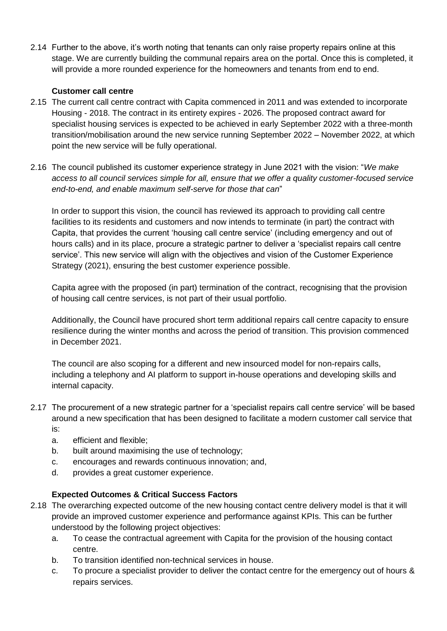2.14 Further to the above, it's worth noting that tenants can only raise property repairs online at this stage. We are currently building the communal repairs area on the portal. Once this is completed, it will provide a more rounded experience for the homeowners and tenants from end to end.

### **Customer call centre**

- 2.15 The current call centre contract with Capita commenced in 2011 and was extended to incorporate Housing - 2018. The contract in its entirety expires - 2026. The proposed contract award for specialist housing services is expected to be achieved in early September 2022 with a three-month transition/mobilisation around the new service running September 2022 – November 2022, at which point the new service will be fully operational.
- 2.16 The council published its customer experience strategy in June 2021 with the vision: "*We make access to all council services simple for all, ensure that we offer a quality customer-focused service end-to-end, and enable maximum self-serve for those that can*"

In order to support this vision, the council has reviewed its approach to providing call centre facilities to its residents and customers and now intends to terminate (in part) the contract with Capita, that provides the current 'housing call centre service' (including emergency and out of hours calls) and in its place, procure a strategic partner to deliver a 'specialist repairs call centre service'. This new service will align with the objectives and vision of the Customer Experience Strategy (2021), ensuring the best customer experience possible.

Capita agree with the proposed (in part) termination of the contract, recognising that the provision of housing call centre services, is not part of their usual portfolio.

Additionally, the Council have procured short term additional repairs call centre capacity to ensure resilience during the winter months and across the period of transition. This provision commenced in December 2021.

The council are also scoping for a different and new insourced model for non-repairs calls, including a telephony and AI platform to support in-house operations and developing skills and internal capacity.

- 2.17 The procurement of a new strategic partner for a 'specialist repairs call centre service' will be based around a new specification that has been designed to facilitate a modern customer call service that is:
	- a. efficient and flexible;
	- b. built around maximising the use of technology;
	- c. encourages and rewards continuous innovation; and,
	- d. provides a great customer experience.

## **Expected Outcomes & Critical Success Factors**

- 2.18 The overarching expected outcome of the new housing contact centre delivery model is that it will provide an improved customer experience and performance against KPIs. This can be further understood by the following project objectives:
	- a. To cease the contractual agreement with Capita for the provision of the housing contact centre.
	- b. To transition identified non-technical services in house.
	- c. To procure a specialist provider to deliver the contact centre for the emergency out of hours & repairs services.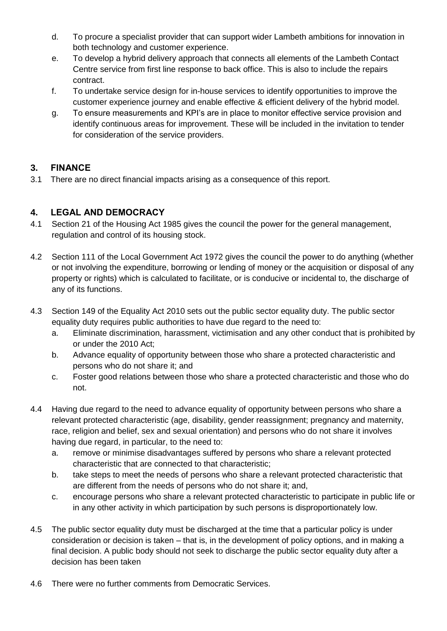- d. To procure a specialist provider that can support wider Lambeth ambitions for innovation in both technology and customer experience.
- e. To develop a hybrid delivery approach that connects all elements of the Lambeth Contact Centre service from first line response to back office. This is also to include the repairs contract.
- f. To undertake service design for in-house services to identify opportunities to improve the customer experience journey and enable effective & efficient delivery of the hybrid model.
- g. To ensure measurements and KPI's are in place to monitor effective service provision and identify continuous areas for improvement. These will be included in the invitation to tender for consideration of the service providers.

## **3. FINANCE**

3.1 There are no direct financial impacts arising as a consequence of this report.

## **4. LEGAL AND DEMOCRACY**

- 4.1 Section 21 of the Housing Act 1985 gives the council the power for the general management, regulation and control of its housing stock.
- 4.2 Section 111 of the Local Government Act 1972 gives the council the power to do anything (whether or not involving the expenditure, borrowing or lending of money or the acquisition or disposal of any property or rights) which is calculated to facilitate, or is conducive or incidental to, the discharge of any of its functions.
- 4.3 Section 149 of the Equality Act 2010 sets out the public sector equality duty. The public sector equality duty requires public authorities to have due regard to the need to:
	- a. Eliminate discrimination, harassment, victimisation and any other conduct that is prohibited by or under the 2010 Act;
	- b. Advance equality of opportunity between those who share a protected characteristic and persons who do not share it; and
	- c. Foster good relations between those who share a protected characteristic and those who do not.
- 4.4 Having due regard to the need to advance equality of opportunity between persons who share a relevant protected characteristic (age, disability, gender reassignment; pregnancy and maternity, race, religion and belief, sex and sexual orientation) and persons who do not share it involves having due regard, in particular, to the need to:
	- a. remove or minimise disadvantages suffered by persons who share a relevant protected characteristic that are connected to that characteristic;
	- b. take steps to meet the needs of persons who share a relevant protected characteristic that are different from the needs of persons who do not share it; and,
	- c. encourage persons who share a relevant protected characteristic to participate in public life or in any other activity in which participation by such persons is disproportionately low.
- 4.5 The public sector equality duty must be discharged at the time that a particular policy is under consideration or decision is taken – that is, in the development of policy options, and in making a final decision. A public body should not seek to discharge the public sector equality duty after a decision has been taken
- 4.6 There were no further comments from Democratic Services.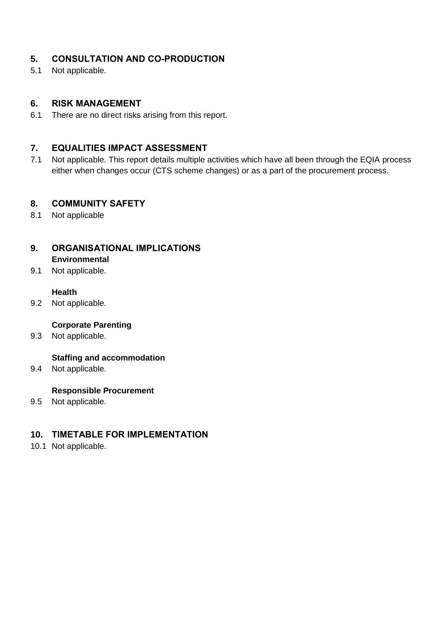## **5. CONSULTATION AND CO-PRODUCTION**

5.1 Not applicable.

### **6. RISK MANAGEMENT**

6.1 There are no direct risks arising from this report.

### **7. EQUALITIES IMPACT ASSESSMENT**

7.1 Not applicable. This report details multiple activities which have all been through the EQIA process either when changes occur (CTS scheme changes) or as a part of the procurement process.

### **8. COMMUNITY SAFETY**

8.1 Not applicable

# **9. ORGANISATIONAL IMPLICATIONS**

#### **Environmental**

9.1 Not applicable.

#### **Health**

9.2 Not applicable.

### **Corporate Parenting**

9.3 Not applicable.

### **Staffing and accommodation**

9.4 Not applicable.

### **Responsible Procurement**

9.5 Not applicable.

### **10. TIMETABLE FOR IMPLEMENTATION**

10.1 Not applicable.